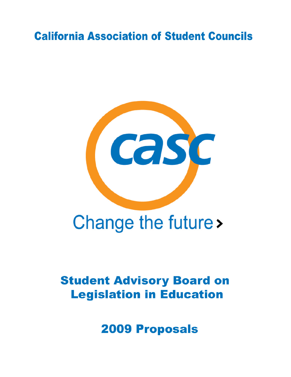# **California Association of Student Councils**



# Change the future >

# **Student Advisory Board on Legislation in Education**

**2009 Proposals**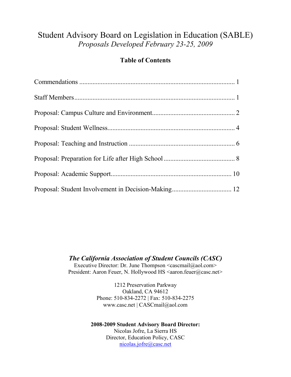# Student Advisory Board on Legislation in Education (SABLE) *Proposals Developed February 23-25, 2009*

#### **Table of Contents**

*The California Association of Student Councils (CASC)*

Executive Director: Dr. June Thompson <cascmail@aol.com> President: Aaron Feuer, N. Hollywood HS <aaron.feuer@casc.net>

> 1212 Preservation Parkway Oakland, CA 94612 Phone: 510-834-2272 | Fax: 510-834-2275 www.casc.net | CASCmail@aol.com

<span id="page-1-0"></span>**2008-2009 Student Advisory Board Director:** Nicolas Jofre, La Sierra HS Director, Education Policy, CASC [nicolas.jofre@casc.net](mailto:nicolas.jofre@casc.net)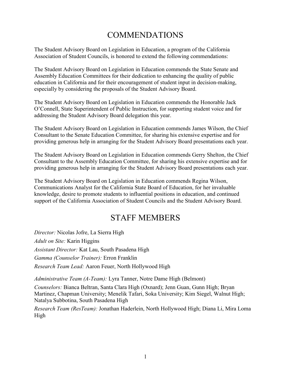# COMMENDATIONS

The Student Advisory Board on Legislation in Education, a program of the California Association of Student Councils, is honored to extend the following commendations:

The Student Advisory Board on Legislation in Education commends the State Senate and Assembly Education Committees for their dedication to enhancing the quality of public education in California and for their encouragement of student input in decision-making, especially by considering the proposals of the Student Advisory Board.

The Student Advisory Board on Legislation in Education commends the Honorable Jack O'Connell, State Superintendent of Public Instruction, for supporting student voice and for addressing the Student Advisory Board delegation this year.

The Student Advisory Board on Legislation in Education commends James Wilson, the Chief Consultant to the Senate Education Committee, for sharing his extensive expertise and for providing generous help in arranging for the Student Advisory Board presentations each year.

The Student Advisory Board on Legislation in Education commends Gerry Shelton, the Chief Consultant to the Assembly Education Committee, for sharing his extensive expertise and for providing generous help in arranging for the Student Advisory Board presentations each year.

The Student Advisory Board on Legislation in Education commends Regina Wilson, Communications Analyst for the California State Board of Education, for her invaluable knowledge, desire to promote students to influential positions in education, and continued support of the California Association of Student Councils and the Student Advisory Board.

# STAFF MEMBERS

<span id="page-2-0"></span>*Director:* Nicolas Jofre, La Sierra High *Adult on Site:* Karin Higgins *Assistant Director:* Kat Lau, South Pasadena High *Gamma (Counselor Trainer):* Erron Franklin *Research Team Lead:* Aaron Feuer, North Hollywood High

*Administrative Team (A-Team):* Lyra Tanner, Notre Dame High (Belmont)

*Counselors:* Bianca Beltran, Santa Clara High (Oxnard); Jenn Guan, Gunn High; Bryan Martinez, Chapman University; Menelik Tafari, Soka University; Kim Siegel, Walnut High; Natalya Subbotina, South Pasadena High

*Research Team (ResTeam):* Jonathan Haderlein, North Hollywood High; Diana Li, Mira Loma High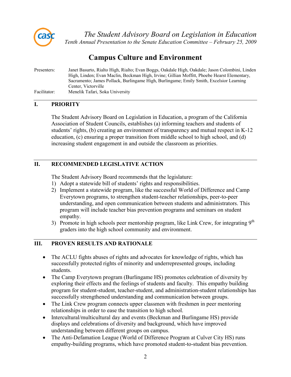<span id="page-3-0"></span>

# **Campus Culture and Environment**

| Presenters:  | Janet Basurto, Rialto High, Rialto; Evan Boggs, Oakdale High, Oakdale; Jason Colombini, Linden |
|--------------|------------------------------------------------------------------------------------------------|
|              | High, Linden; Evan Maclin, Beckman High, Irvine; Gillian Moffitt, Phoebe Hearst Elementary,    |
|              | Sacramento; James Pollack, Burlingame High, Burlingame; Emily Smith, Excelsior Learning        |
|              | Center, Victorville                                                                            |
| Facilitator: | Menelik Tafari, Soka University                                                                |

#### **I. PRIORITY**

The Student Advisory Board on Legislation in Education, a program of the California Association of Student Councils, establishes (a) informing teachers and students of students' rights, (b) creating an environment of transparency and mutual respect in K-12 education, (c) ensuring a proper transition from middle school to high school, and (d) increasing student engagement in and outside the classroom as priorities.

#### **II. RECOMMENDED LEGISLATIVE ACTION**

The Student Advisory Board recommends that the legislature:

- 1) Adopt a statewide bill of students' rights and responsibilities.
- 2) Implement a statewide program, like the successful World of Difference and Camp Everytown programs, to strengthen student-teacher relationships, peer-to-peer understanding, and open communication between students and administrators. This program will include teacher bias prevention programs and seminars on student empathy.
- 3) Promote in high schools peer mentorship program, like Link Crew, for integrating  $9<sup>th</sup>$ graders into the high school community and environment.

- The ACLU fights abuses of rights and advocates for knowledge of rights, which has successfully protected rights of minority and underrepresented groups, including students.
- The Camp Everytown program (Burlingame HS) promotes celebration of diversity by exploring their effects and the feelings of students and faculty. This empathy building program for student-student, teacher-student, and administration-student relationships has successfully strengthened understanding and communication between groups.
- The Link Crew program connects upper classmen with freshmen in peer mentoring relationships in order to ease the transition to high school.
- Intercultural/multicultural day and events (Beckman and Burlingame HS) provide displays and celebrations of diversity and background, which have improved understanding between different groups on campus.
- The Anti-Defamation League (World of Difference Program at Culver City HS) runs empathy-building programs, which have promoted student-to-student bias prevention.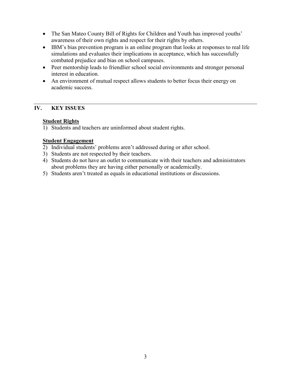- The San Mateo County Bill of Rights for Children and Youth has improved youths' awareness of their own rights and respect for their rights by others.
- IBM's bias prevention program is an online program that looks at responses to real life simulations and evaluates their implications in acceptance, which has successfully combated prejudice and bias on school campuses.
- Peer mentorship leads to friendlier school social environments and stronger personal interest in education.
- An environment of mutual respect allows students to better focus their energy on academic success.

#### **Student Rights**

1) Students and teachers are uninformed about student rights.

#### **Student Engagement**

- 2) Individual students' problems aren't addressed during or after school.
- 3) Students are not respected by their teachers.
- 4) Students do not have an outlet to communicate with their teachers and administrators about problems they are having either personally or academically.
- 5) Students aren't treated as equals in educational institutions or discussions.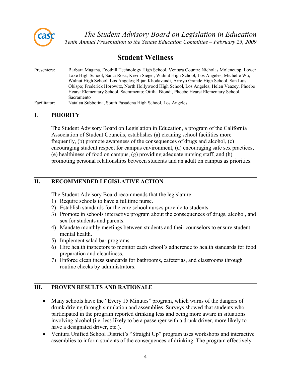

### **Student Wellness**

| Presenters:  | Barbara Magana, Foothill Technology High School, Ventura County; Nicholas Molencupp, Lower |
|--------------|--------------------------------------------------------------------------------------------|
|              | Lake High School, Santa Rosa; Kevin Siegel, Walnut High School, Los Angeles; Michelle Wu,  |
|              | Walnut High School, Los Angeles; Bijan Khodavandi, Arroyo Grande High School, San Luis     |
|              | Obispo; Frederick Horowitz, North Hollywood High School, Los Angeles; Helen Veazey, Phoebe |
|              | Hearst Elementary School, Sacramento; Ottilia Biondi, Phoebe Hearst Elementary School,     |
|              | Sacramento                                                                                 |
| Facilitator: | Natalya Subbotina, South Pasadena High School, Los Angeles                                 |

#### **I. PRIORITY**

The Student Advisory Board on Legislation in Education, a program of the California Association of Student Councils, establishes (a) cleaning school facilities more frequently, (b) promote awareness of the consequences of drugs and alcohol, (c) encouraging student respect for campus environment, (d) encouraging safe sex practices, (e) healthiness of food on campus, (g) providing adequate nursing staff, and (h) promoting personal relationships between students and an adult on campus as priorities.

#### **II. RECOMMENDED LEGISLATIVE ACTION**

The Student Advisory Board recommends that the legislature:

- 1) Require schools to have a fulltime nurse.
- 2) Establish standards for the care school nurses provide to students.
- 3) Promote in schools interactive program about the consequences of drugs, alcohol, and sex for students and parents.
- 4) Mandate monthly meetings between students and their counselors to ensure student mental health.
- 5) Implement salad bar programs.
- 6) Hire health inspectors to monitor each school's adherence to health standards for food preparation and cleanliness.
- 7) Enforce cleanliness standards for bathrooms, cafeterias, and classrooms through routine checks by administrators.

- Many schools have the "Every 15 Minutes" program, which warns of the dangers of drunk driving through simulation and assemblies. Surveys showed that students who participated in the program reported drinking less and being more aware in situations involving alcohol (i.e. less likely to be a passenger with a drunk driver, more likely to have a designated driver, etc.).
- Ventura Unified School District's "Straight Up" program uses workshops and interactive assemblies to inform students of the consequences of drinking. The program effectively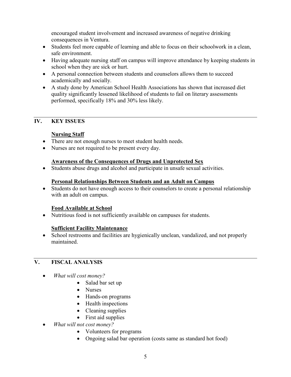encouraged student involvement and increased awareness of negative drinking consequences in Ventura.

- Students feel more capable of learning and able to focus on their schoolwork in a clean, safe environment.
- Having adequate nursing staff on campus will improve attendance by keeping students in school when they are sick or hurt.
- A personal connection between students and counselors allows them to succeed academically and socially.
- A study done by American School Health Associations has shown that increased diet quality significantly lessened likelihood of students to fail on literary assessments performed, specifically 18% and 30% less likely.

#### **IV. KEY ISSUES**

#### **Nursing Staff**

- There are not enough nurses to meet student health needs.
- Nurses are not required to be present every day.

#### **Awareness of the Consequences of Drugs and Unprotected Sex**

• Students abuse drugs and alcohol and participate in unsafe sexual activities.

#### **Personal Relationships Between Students and an Adult on Campus**

• Students do not have enough access to their counselors to create a personal relationship with an adult on campus.

#### **Food Available at School**

• Nutritious food is not sufficiently available on campuses for students.

#### **Sufficient Facility Maintenance**

• School restrooms and facilities are hygienically unclean, vandalized, and not properly maintained.

#### **V. FISCAL ANALYSIS**

- *What will cost money?*
	- Salad bar set up
	- Nurses
	- Hands-on programs
	- Health inspections
	- Cleaning supplies
	- First aid supplies
- *What will not cost money?*
	- Volunteers for programs
	- Ongoing salad bar operation (costs same as standard hot food)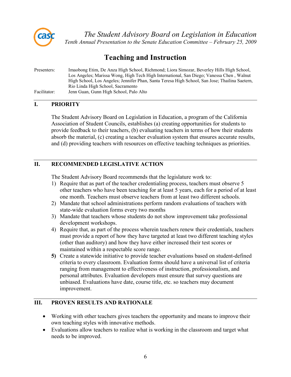

# **Teaching and Instruction**

| Presenters:  | Imaobong Etim, De Anza High School, Richmond; Liora Simozar, Beverley Hills High School,       |
|--------------|------------------------------------------------------------------------------------------------|
|              | Los Angeles; Marissa Wong, High Tech High International, San Diego; Vanessa Chen, Walnut       |
|              | High School, Los Angeles; Jennifer Phan, Santa Teresa High School, San Jose; Thailina Saetern, |
|              | Rio Linda High School, Sacramento                                                              |
| Facilitator: | Jenn Guan, Gunn High School, Palo Alto                                                         |

#### **I. PRIORITY**

The Student Advisory Board on Legislation in Education, a program of the California Association of Student Councils, establishes (a) creating opportunities for students to provide feedback to their teachers, (b) evaluating teachers in terms of how their students absorb the material, (c) creating a teacher evaluation system that ensures accurate results, and (d) providing teachers with resources on effective teaching techniques as priorities.

#### **II. RECOMMENDED LEGISLATIVE ACTION**

The Student Advisory Board recommends that the legislature work to:

- 1) Require that as part of the teacher credentialing process, teachers must observe 5 other teachers who have been teaching for at least 5 years, each for a period of at least one month. Teachers must observe teachers from at least two different schools.
- 2) Mandate that school administrations perform random evaluations of teachers with state-wide evaluation forms every two months
- 3) Mandate that teachers whose students do not show improvement take professional development workshops.
- 4) Require that, as part of the process wherein teachers renew their credentials, teachers must provide a report of how they have targeted at least two different teaching styles (other than auditory) and how they have either increased their test scores or maintained within a respectable score range.
- **5)** Create a statewide initiative to provide teacher evaluations based on student-defined criteria to every classroom. Evaluation forms should have a universal list of criteria ranging from management to effectiveness of instruction, professionalism, and personal attributes. Evaluation developers must ensure that survey questions are unbiased. Evaluations have date, course title, etc. so teachers may document improvement.

- Working with other teachers gives teachers the opportunity and means to improve their own teaching styles with innovative methods.
- Evaluations allow teachers to realize what is working in the classroom and target what needs to be improved.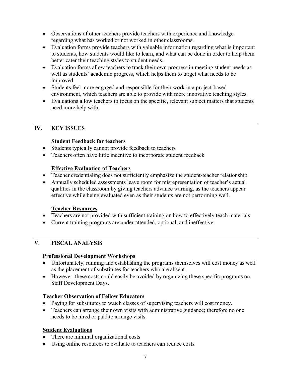- Observations of other teachers provide teachers with experience and knowledge regarding what has worked or not worked in other classrooms.
- Evaluation forms provide teachers with valuable information regarding what is important to students, how students would like to learn, and what can be done in order to help them better cater their teaching styles to student needs.
- Evaluation forms allow teachers to track their own progress in meeting student needs as well as students' academic progress, which helps them to target what needs to be improved.
- Students feel more engaged and responsible for their work in a project-based environment, which teachers are able to provide with more innovative teaching styles.
- Evaluations allow teachers to focus on the specific, relevant subject matters that students need more help with.

#### **Student Feedback for teachers**

- Students typically cannot provide feedback to teachers
- Teachers often have little incentive to incorporate student feedback

#### **Effective Evaluation of Teachers**

- Teacher credentialing does not sufficiently emphasize the student-teacher relationship
- Annually scheduled assessments leave room for misrepresentation of teacher's actual qualities in the classroom by giving teachers advance warning, as the teachers appear effective while being evaluated even as their students are not performing well.

#### **Teacher Resources**

- Teachers are not provided with sufficient training on how to effectively teach materials
- Current training programs are under-attended, optional, and ineffective.

#### **V. FISCAL ANALYSIS**

#### **Professional Development Workshops**

- Unfortunately, running and establishing the programs themselves will cost money as well as the placement of substitutes for teachers who are absent.
- However, these costs could easily be avoided by organizing these specific programs on Staff Development Days.

#### **Teacher Observation of Fellow Educators**

- Paying for substitutes to watch classes of supervising teachers will cost money.
- Teachers can arrange their own visits with administrative guidance; therefore no one needs to be hired or paid to arrange visits.

#### **Student Evaluations**

- There are minimal organizational costs
- Using online resources to evaluate to teachers can reduce costs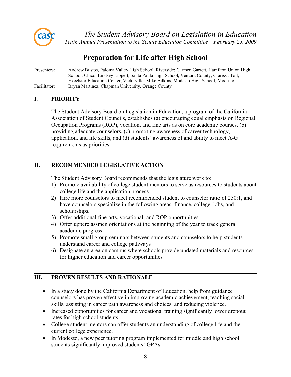

# **Preparation for Life after High School**

| Presenters:  | Andrew Bustos, Paloma Valley High School, Riverside; Carmen Garrett, Hamilton Union High |
|--------------|------------------------------------------------------------------------------------------|
|              | School, Chico; Lindsey Lippert, Santa Paula High School, Ventura County; Clarissa Toll,  |
|              | Excelsior Education Center, Victorville; Mike Adkins, Modesto High School, Modesto       |
| Facilitator: | Bryan Martinez, Chapman University, Orange County                                        |

#### **I. PRIORITY**

The Student Advisory Board on Legislation in Education, a program of the California Association of Student Councils, establishes (a) encouraging equal emphasis on Regional Occupation Programs (ROP), vocation, and fine arts as on core academic courses, (b) providing adequate counselors, (c) promoting awareness of career technology, application, and life skills, and (d) students' awareness of and ability to meet A-G requirements as priorities.

#### **II. RECOMMENDED LEGISLATIVE ACTION**

The Student Advisory Board recommends that the legislature work to:

- 1) Promote availability of college student mentors to serve as resources to students about college life and the application process
- 2) Hire more counselors to meet recommended student to counselor ratio of 250:1, and have counselors specialize in the following areas: finance, college, jobs, and scholarships.
- 3) Offer additional fine-arts, vocational, and ROP opportunities.
- 4) Offer upperclassmen orientations at the beginning of the year to track general academic progress.
- 5) Promote small group seminars between students and counselors to help students understand career and college pathways
- 6) Designate an area on campus where schools provide updated materials and resources for higher education and career opportunities

- In a study done by the California Department of Education, help from guidance counselors has proven effective in improving academic achievement, teaching social skills, assisting in career path awareness and choices, and reducing violence.
- Increased opportunities for career and vocational training significantly lower dropout rates for high school students.
- College student mentors can offer students an understanding of college life and the current college experience.
- In Modesto, a new peer tutoring program implemented for middle and high school students significantly improved students' GPAs.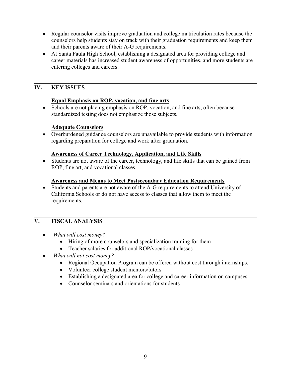- Regular counselor visits improve graduation and college matriculation rates because the counselors help students stay on track with their graduation requirements and keep them and their parents aware of their A-G requirements.
- At Santa Paula High School, establishing a designated area for providing college and career materials has increased student awareness of opportunities, and more students are entering colleges and careers.

#### **Equal Emphasis on ROP, vocation, and fine arts**

• Schools are not placing emphasis on ROP, vocation, and fine arts, often because standardized testing does not emphasize those subjects.

#### **Adequate Counselors**

• Overburdened guidance counselors are unavailable to provide students with information regarding preparation for college and work after graduation.

#### **Awareness of Career Technology, Application, and Life Skills**

• Students are not aware of the career, technology, and life skills that can be gained from ROP, fine art, and vocational classes.

#### **Awareness and Means to Meet Postsecondary Education Requirements**

• Students and parents are not aware of the A-G requirements to attend University of California Schools or do not have access to classes that allow them to meet the requirements.

#### **V. FISCAL ANALYSIS**

- *What will cost money?*
	- Hiring of more counselors and specialization training for them
	- Teacher salaries for additional ROP/vocational classes
- *What will not cost money?*
	- Regional Occupation Program can be offered without cost through internships.
	- Volunteer college student mentors/tutors
	- Establishing a designated area for college and career information on campuses
	- Counselor seminars and orientations for students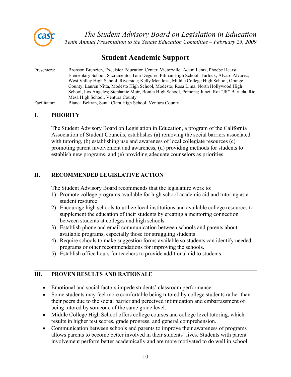

### **Student Academic Support**

| Presenters:  | Bronson Brenzien, Excelsior Education Center, Victorville; Adam Lentz, Phoebe Hearst          |
|--------------|-----------------------------------------------------------------------------------------------|
|              | Elementary School, Sacramento; Toni Deguire, Pitman High School, Turlock; Alvaro Alvarez,     |
|              | West Valley High School, Riverside; Kelly Mendoza, Middle College High School, Orange         |
|              | County; Lauren Nitta, Modesto High School, Modesto; Rosa Lima, North Hollywood High           |
|              | School, Los Angeles; Stephanie Muir, Bonita High School, Pomona; Juneil Roi "JR" Baruela, Rio |
|              | Mesa High School, Ventura County                                                              |
| Facilitator: | Bianca Beltran, Santa Clara High School, Ventura County                                       |

#### **I. PRIORITY**

The Student Advisory Board on Legislation in Education, a program of the California Association of Student Councils, establishes (a) removing the social barriers associated with tutoring, (b) establishing use and awareness of local collegiate resources (c) promoting parent involvement and awareness, (d) providing methods for students to establish new programs, and (e) providing adequate counselors as priorities.

#### **II. RECOMMENDED LEGISLATIVE ACTION**

The Student Advisory Board recommends that the legislature work to:

- 1) Promote college programs available for high school academic aid and tutoring as a student resource
- 2) Encourage high schools to utilize local institutions and available college resources to supplement the education of their students by creating a mentoring connection between students at colleges and high schools
- 3) Establish phone and email communication between schools and parents about available programs, especially those for struggling students
- 4) Require schools to make suggestion forms available so students can identify needed programs or other recommendations for improving the schools.
- 5) Establish office hours for teachers to provide additional aid to students.

- Emotional and social factors impede students' classroom performance.
- Some students may feel more comfortable being tutored by college students rather than their peers due to the social barrier and perceived intimidation and embarrassment of being tutored by someone of the same grade level.
- Middle College High School offers college courses and college level tutoring, which results in higher test scores, grade progress, and general comprehension.
- Communication between schools and parents to improve their awareness of programs allows parents to become better involved in their students' lives. Students with parent involvement perform better academically and are more motivated to do well in school.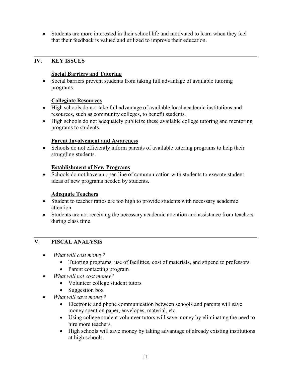• Students are more interested in their school life and motivated to learn when they feel that their feedback is valued and utilized to improve their education.

#### **IV. KEY ISSUES**

#### **Social Barriers and Tutoring**

• Social barriers prevent students from taking full advantage of available tutoring programs.

#### **Collegiate Resources**

- High schools do not take full advantage of available local academic institutions and resources, such as community colleges, to benefit students.
- High schools do not adequately publicize these available college tutoring and mentoring programs to students.

#### **Parent Involvement and Awareness**

• Schools do not efficiently inform parents of available tutoring programs to help their struggling students.

#### **Establishment of New Programs**

• Schools do not have an open line of communication with students to execute student ideas of new programs needed by students.

#### **Adequate Teachers**

- Student to teacher ratios are too high to provide students with necessary academic attention.
- Students are not receiving the necessary academic attention and assistance from teachers during class time.

#### **V. FISCAL ANALYSIS**

- *What will cost money?*
	- Tutoring programs: use of facilities, cost of materials, and stipend to professors
	- Parent contacting program
- *What will not cost money?*
	- Volunteer college student tutors
	- Suggestion box
- *What will save money?*
	- Electronic and phone communication between schools and parents will save money spent on paper, envelopes, material, etc.
	- Using college student volunteer tutors will save money by eliminating the need to hire more teachers.
	- High schools will save money by taking advantage of already existing institutions at high schools.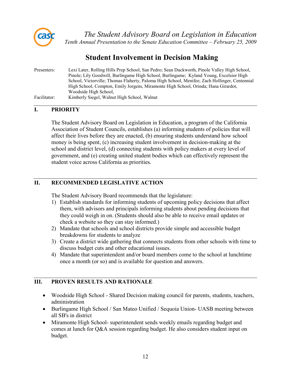

# **Student Involvement in Decision Making**

| Presenters:  | Lexi Later, Rolling Hills Prep School, San Pedro; Sean Duckworth, Pinole Valley High School,<br>Pinole; Lily Goodwill, Burlingame High School, Burlingame; Kyland Young, Excelsior High |
|--------------|-----------------------------------------------------------------------------------------------------------------------------------------------------------------------------------------|
|              | School, Victorville; Thomas Flaherty, Paloma High School, Menifee; Zach Hollinger, Centennial                                                                                           |
|              | High School, Compton, Emily Jorgens, Miramonte High School, Orinda; Hana Girardot,                                                                                                      |
|              | Woodside High School.                                                                                                                                                                   |
| Facilitator: | Kimberly Siegel, Walnut High School, Walnut                                                                                                                                             |

#### **I. PRIORITY**

The Student Advisory Board on Legislation in Education, a program of the California Association of Student Councils, establishes (a) informing students of policies that will affect their lives before they are enacted, (b) ensuring students understand how school money is being spent, (c) increasing student involvement in decision-making at the school and district level, (d) connecting students with policy makers at every level of government, and (e) creating united student bodies which can effectively represent the student voice across California as priorities.

#### **II. RECOMMENDED LEGISLATIVE ACTION**

The Student Advisory Board recommends that the legislature:

- 1) Establish standards for informing students of upcoming policy decisions that affect them, with advisors and principals informing students about pending decisions that they could weigh in on. (Students should also be able to receive email updates or check a website so they can stay informed.)
- 2) Mandate that schools and school districts provide simple and accessible budget breakdowns for students to analyze
- 3) Create a district wide gathering that connects students from other schools with time to discuss budget cuts and other educational issues.
- 4) Mandate that superintendent and/or board members come to the school at lunchtime once a month (or so) and is available for question and answers.

- Woodside High School Shared Decision making council for parents, students, teachers, administration
- Burlingame High School / San Mateo Unified / Sequoia Union- UASB meeting between all SB's in district
- Miramonte High School- superintendent sends weekly emails regarding budget and comes at lunch for Q&A session regarding budget. He also considers student input on budget.